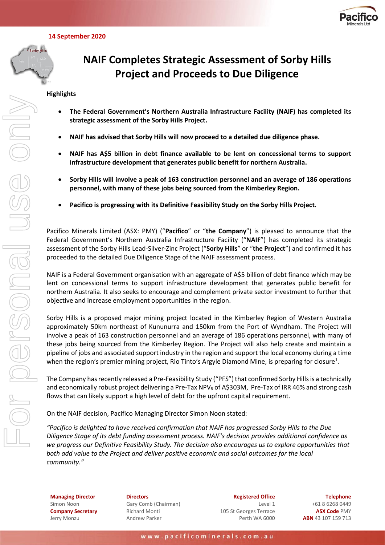

 **14 September 2020**



For personal use only

# **NAIF Completes Strategic Assessment of Sorby Hills Project and Proceeds to Due Diligence**

# **Highlights**

- **The Federal Government's Northern Australia Infrastructure Facility (NAIF) has completed its strategic assessment of the Sorby Hills Project.**
- **NAIF has advised that Sorby Hills will now proceed to a detailed due diligence phase.**
- **NAIF has A\$5 billion in debt finance available to be lent on concessional terms to support infrastructure development that generates public benefit for northern Australia.**
- **Sorby Hills will involve a peak of 163 construction personnel and an average of 186 operations personnel, with many of these jobs being sourced from the Kimberley Region.**
- **Pacifico is progressing with its Definitive Feasibility Study on the Sorby Hills Project.**

Pacifico Minerals Limited (ASX: PMY) ("**Pacifico**" or "**the Company**") is pleased to announce that the Federal Government's Northern Australia Infrastructure Facility ("**NAIF**") has completed its strategic assessment of the Sorby Hills Lead-Silver-Zinc Project ("**Sorby Hills**" or "**the Project**") and confirmed it has proceeded to the detailed Due Diligence Stage of the NAIF assessment process.

NAIF is a Federal Government organisation with an aggregate of A\$5 billion of debt finance which may be lent on concessional terms to support infrastructure development that generates public benefit for northern Australia. It also seeks to encourage and complement private sector investment to further that objective and increase employment opportunities in the region.

Sorby Hills is a proposed major mining project located in the Kimberley Region of Western Australia approximately 50km northeast of Kununurra and 150km from the Port of Wyndham. The Project will involve a peak of 163 construction personnel and an average of 186 operations personnel, with many of these jobs being sourced from the Kimberley Region. The Project will also help create and maintain a pipeline of jobs and associated support industry in the region and support the local economy during a time when the region's premier mining project, Rio Tinto's Argyle Diamond Mine, is preparing for closure<sup>1</sup>.

The Company has recently released a Pre-Feasibility Study ("PFS") that confirmed Sorby Hills is a technically and economically robust project delivering a Pre-Tax NPV<sub>8</sub> of A\$303M, Pre-Tax of IRR 46% and strong cash flows that can likely support a high level of debt for the upfront capital requirement.

On the NAIF decision, Pacifico Managing Director Simon Noon stated:

*"Pacifico is delighted to have received confirmation that NAIF has progressed Sorby Hills to the Due Diligence Stage of its debt funding assessment process. NAIF's decision provides additional confidence as we progress our Definitive Feasibility Study. The decision also encourages us to explore opportunities that both add value to the Project and deliver positive economic and social outcomes for the local community."*

**Managing Director** Simon Noon **Company Secretary** Jerry Monzu

**Directors** Gary Comb (Chairman) Richard Monti Andrew Parker

**Registered Office** Level 1 105 St Georges Terrace Perth WA 6000

**Telephone** +61 8 6268 0449 **ASX Code** PMY **ABN** 43 107 159 713

www.pacificominerals.com.au